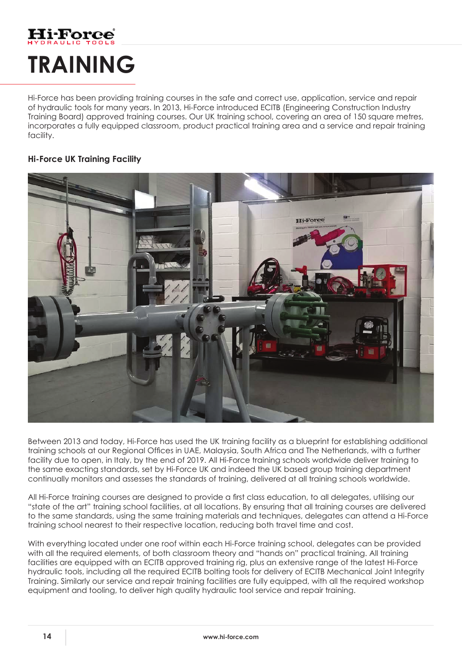## **Hi-Force TRAINING**

Hi-Force has been providing training courses in the safe and correct use, application, service and repair of hydraulic tools for many years. In 2013, Hi-Force introduced ECITB (Engineering Construction Industry Training Board) approved training courses. Our UK training school, covering an area of 150 square metres, incorporates a fully equipped classroom, product practical training area and a service and repair training facility.

## **Hi-Force UK Training Facility**



Between 2013 and today, Hi-Force has used the UK training facility as a blueprint for establishing additional training schools at our Regional Offices in UAE, Malaysia, South Africa and The Netherlands, with a further facility due to open, in Italy, by the end of 2019. All Hi-Force training schools worldwide deliver training to the same exacting standards, set by Hi-Force UK and indeed the UK based group training department continually monitors and assesses the standards of training, delivered at all training schools worldwide.

All Hi-Force training courses are designed to provide a first class education, to all delegates, utilising our "state of the art" training school facilities, at all locations. By ensuring that all training courses are delivered to the same standards, using the same training materials and techniques, delegates can attend a Hi-Force training school nearest to their respective location, reducing both travel time and cost.

With everything located under one roof within each Hi-Force training school, delegates can be provided with all the required elements, of both classroom theory and "hands on" practical training. All training facilities are equipped with an ECITB approved training rig, plus an extensive range of the latest Hi-Force hydraulic tools, including all the required ECITB bolting tools for delivery of ECITB Mechanical Joint Integrity Training. Similarly our service and repair training facilities are fully equipped, with all the required workshop equipment and tooling, to deliver high quality hydraulic tool service and repair training.